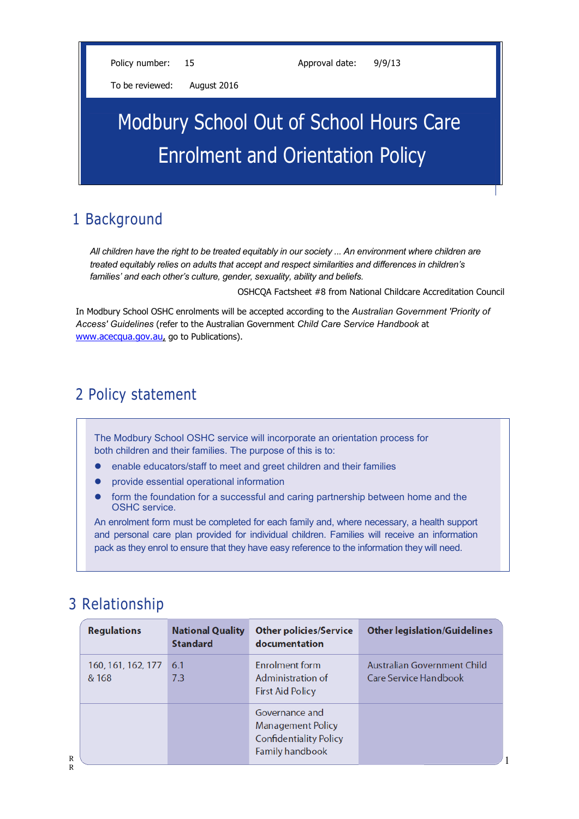Policy number: 15 Approval date: 9/9/13

To be reviewed: August 2016

# Modbury School Out of School Hours Care Enrolment and Orientation Policy

# 1 Background

*All children have the right to be treated equitably in our society ... An environment where children are treated equitably relies on adults that accept and respect similarities and differences in children's families' and each other's culture, gender, sexuality, ability and beliefs.*

OSHCQA Factsheet #8 from National Childcare Accreditation Council

1

In Modbury School OSHC enrolments will be accepted according to the *Australian Government 'Priority of Access' Guidelines* (refer to the Australian Government *Child Care Service Handbook* at [www.acecqua.gov.au,](http://www.acecqua.gov.au/) go to Publications).

# 2 Policy statement

The Modbury School OSHC service will incorporate an orientation process for both children and their families. The purpose of this is to:

- enable educators/staff to meet and greet children and their families
- provide essential operational information
- form the foundation for a successful and caring partnership between home and the OSHC service.

An enrolment form must be completed for each family and, where necessary, a health support and personal care plan provided for individual children. Families will receive an information pack as they enrol to ensure that they have easy reference to the information they will need.

# 3 Relationship

| <b>Regulations</b>          | <b>National Quality</b><br><b>Standard</b> | <b>Other policies/Service</b><br>documentation                                                        | <b>Other legislation/Guidelines</b>                  |
|-----------------------------|--------------------------------------------|-------------------------------------------------------------------------------------------------------|------------------------------------------------------|
| 160, 161, 162, 177<br>& 168 | 6.1<br>7.3                                 | <b>Enrolment form</b><br>Administration of<br><b>First Aid Policy</b>                                 | Australian Government Child<br>Care Service Handbook |
|                             |                                            | Governance and<br><b>Management Policy</b><br><b>Confidentiality Policy</b><br><b>Family handbook</b> |                                                      |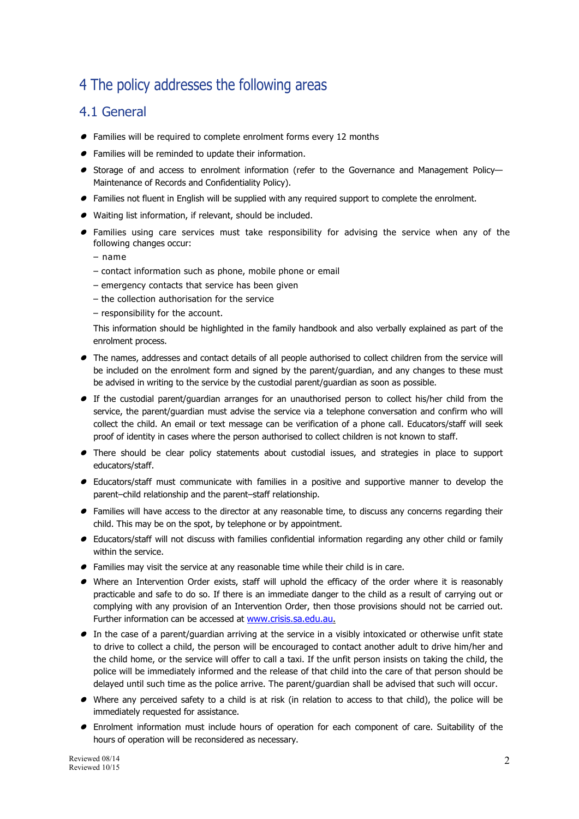# 4 The policy addresses the following areas

### 4.1 General

- Families will be required to complete enrolment forms every 12 months
- Families will be reminded to update their information.
- $\bullet$  Storage of and access to enrolment information (refer to the Governance and Management Policy— Maintenance of Records and Confidentiality Policy).
- Families not fluent in English will be supplied with any required support to complete the enrolment.
- Waiting list information, if relevant, should be included.
- Families using care services must take responsibility for advising the service when any of the following changes occur:
	- name
	- contact information such as phone, mobile phone or email
	- emergency contacts that service has been given
	- the collection authorisation for the service
	- responsibility for the account.

This information should be highlighted in the family handbook and also verbally explained as part of the enrolment process.

- The names, addresses and contact details of all people authorised to collect children from the service will be included on the enrolment form and signed by the parent/guardian, and any changes to these must be advised in writing to the service by the custodial parent/guardian as soon as possible.
- $\bullet$  If the custodial parent/guardian arranges for an unauthorised person to collect his/her child from the service, the parent/guardian must advise the service via a telephone conversation and confirm who will collect the child. An email or text message can be verification of a phone call. Educators/staff will seek proof of identity in cases where the person authorised to collect children is not known to staff.
- $\bullet$  There should be clear policy statements about custodial issues, and strategies in place to support educators/staff.
- Educators/staff must communicate with families in a positive and supportive manner to develop the parent–child relationship and the parent–staff relationship.
- Families will have access to the director at any reasonable time, to discuss any concerns regarding their child. This may be on the spot, by telephone or by appointment.
- Educators/staff will not discuss with families confidential information regarding any other child or family within the service.
- $\bullet$  Families may visit the service at any reasonable time while their child is in care.
- $\bullet$  Where an Intervention Order exists, staff will uphold the efficacy of the order where it is reasonably practicable and safe to do so. If there is an immediate danger to the child as a result of carrying out or complying with any provision of an Intervention Order, then those provisions should not be carried out. Further information can be accessed at [www.crisis.sa.edu.au.](http://www.crisis.sa.edu.au/)
- $\bullet$  In the case of a parent/guardian arriving at the service in a visibly intoxicated or otherwise unfit state to drive to collect a child, the person will be encouraged to contact another adult to drive him/her and the child home, or the service will offer to call a taxi. If the unfit person insists on taking the child, the police will be immediately informed and the release of that child into the care of that person should be delayed until such time as the police arrive. The parent/guardian shall be advised that such will occur.
- $\bullet$  Where any perceived safety to a child is at risk (in relation to access to that child), the police will be immediately requested for assistance.
- Enrolment information must include hours of operation for each component of care. Suitability of the hours of operation will be reconsidered as necessary.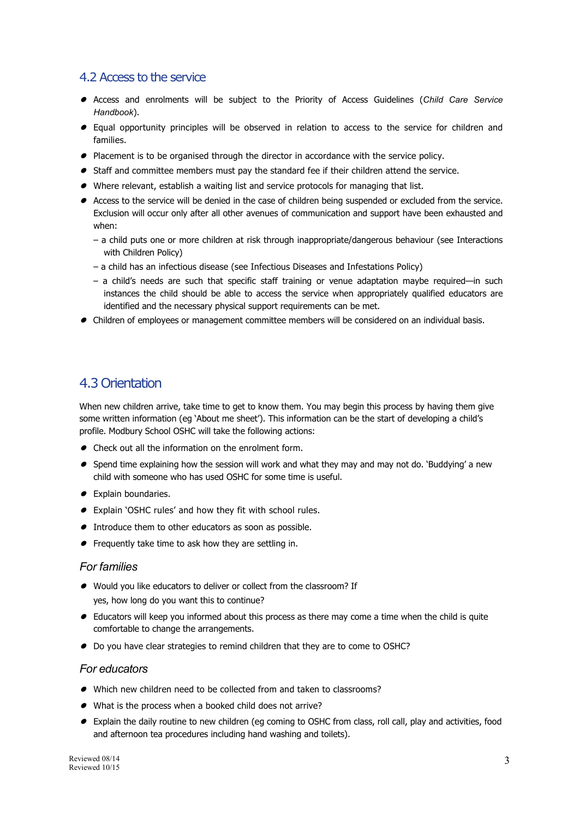#### 4.2 Access to the service

- Access and enrolments will be subject to the Priority of Access Guidelines (*Child Care Service Handbook*).
- Equal opportunity principles will be observed in relation to access to the service for children and families.
- $\bullet$  Placement is to be organised through the director in accordance with the service policy.
- $\bullet$  Staff and committee members must pay the standard fee if their children attend the service.
- Where relevant, establish a waiting list and service protocols for managing that list.
- Access to the service will be denied in the case of children being suspended or excluded from the service. Exclusion will occur only after all other avenues of communication and support have been exhausted and when:
	- a child puts one or more children at risk through inappropriate/dangerous behaviour (see Interactions with Children Policy)
	- a child has an infectious disease (see Infectious Diseases and Infestations Policy)
	- a child's needs are such that specific staff training or venue adaptation maybe required—in such instances the child should be able to access the service when appropriately qualified educators are identified and the necessary physical support requirements can be met.
- Children of employees or management committee members will be considered on an individual basis.

### 4.3 Orientation

When new children arrive, take time to get to know them. You may begin this process by having them give some written information (eg 'About me sheet'). This information can be the start of developing a child's profile. Modbury School OSHC will take the following actions:

- Check out all the information on the enrolment form.
- $\bullet$  Spend time explaining how the session will work and what they may and may not do. 'Buddying' a new child with someone who has used OSHC for some time is useful.
- Explain boundaries.
- Explain 'OSHC rules' and how they fit with school rules.
- $\bullet$  Introduce them to other educators as soon as possible.
- $\bullet$  Frequently take time to ask how they are settling in.

#### *For families*

- Would you like educators to deliver or collect from the classroom? If yes, how long do you want this to continue?
- $\bullet$  Educators will keep you informed about this process as there may come a time when the child is quite comfortable to change the arrangements.
- $\bullet$  Do you have clear strategies to remind children that they are to come to OSHC?

#### *For educators*

- Which new children need to be collected from and taken to classrooms?
- What is the process when a booked child does not arrive?
- Explain the daily routine to new children (eg coming to OSHC from class, roll call, play and activities, food and afternoon tea procedures including hand washing and toilets).